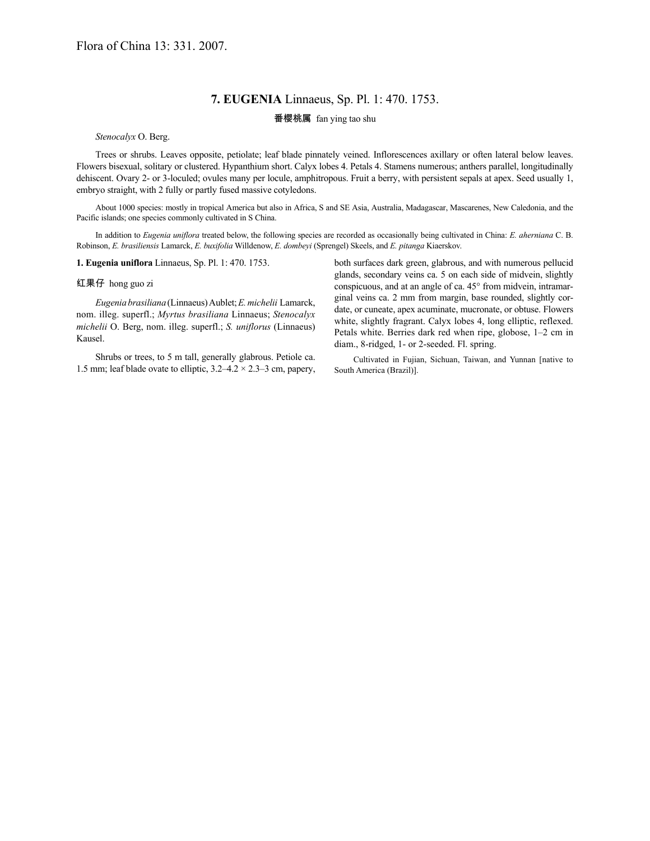## **7. EUGENIA** Linnaeus, Sp. Pl. 1: 470. 1753.

## 番樱桃属 fan ying tao shu

*Stenocalyx* O. Berg.

Trees or shrubs. Leaves opposite, petiolate; leaf blade pinnately veined. Inflorescences axillary or often lateral below leaves. Flowers bisexual, solitary or clustered. Hypanthium short. Calyx lobes 4. Petals 4. Stamens numerous; anthers parallel, longitudinally dehiscent. Ovary 2- or 3-loculed; ovules many per locule, amphitropous. Fruit a berry, with persistent sepals at apex. Seed usually 1, embryo straight, with 2 fully or partly fused massive cotyledons.

About 1000 species: mostly in tropical America but also in Africa, S and SE Asia, Australia, Madagascar, Mascarenes, New Caledonia, and the Pacific islands; one species commonly cultivated in S China.

In addition to *Eugenia uniflora* treated below, the following species are recorded as occasionally being cultivated in China: *E. aherniana* C. B. Robinson, *E. brasiliensis* Lamarck, *E. buxifolia* Willdenow, *E. dombeyi* (Sprengel) Skeels, and *E. pitanga* Kiaerskov.

**1. Eugenia uniflora** Linnaeus, Sp. Pl. 1: 470. 1753.

## 红果仔 hong guo zi

*Eugenia brasiliana*(Linnaeus)Aublet;*E.michelii* Lamarck, nom. illeg. superfl.; *Myrtus brasiliana* Linnaeus; *Stenocalyx michelii* O. Berg, nom. illeg. superfl.; *S. uniflorus* (Linnaeus) Kausel.

Shrubs or trees, to 5 m tall, generally glabrous. Petiole ca. 1.5 mm; leaf blade ovate to elliptic, 3.2–4.2 × 2.3–3 cm, papery, both surfaces dark green, glabrous, and with numerous pellucid glands, secondary veins ca. 5 on each side of midvein, slightly conspicuous, and at an angle of ca. 45° from midvein, intramarginal veins ca. 2 mm from margin, base rounded, slightly cordate, or cuneate, apex acuminate, mucronate, or obtuse. Flowers white, slightly fragrant. Calyx lobes 4, long elliptic, reflexed. Petals white. Berries dark red when ripe, globose, 1–2 cm in diam., 8-ridged, 1- or 2-seeded. Fl. spring.

Cultivated in Fujian, Sichuan, Taiwan, and Yunnan [native to South America (Brazil)].